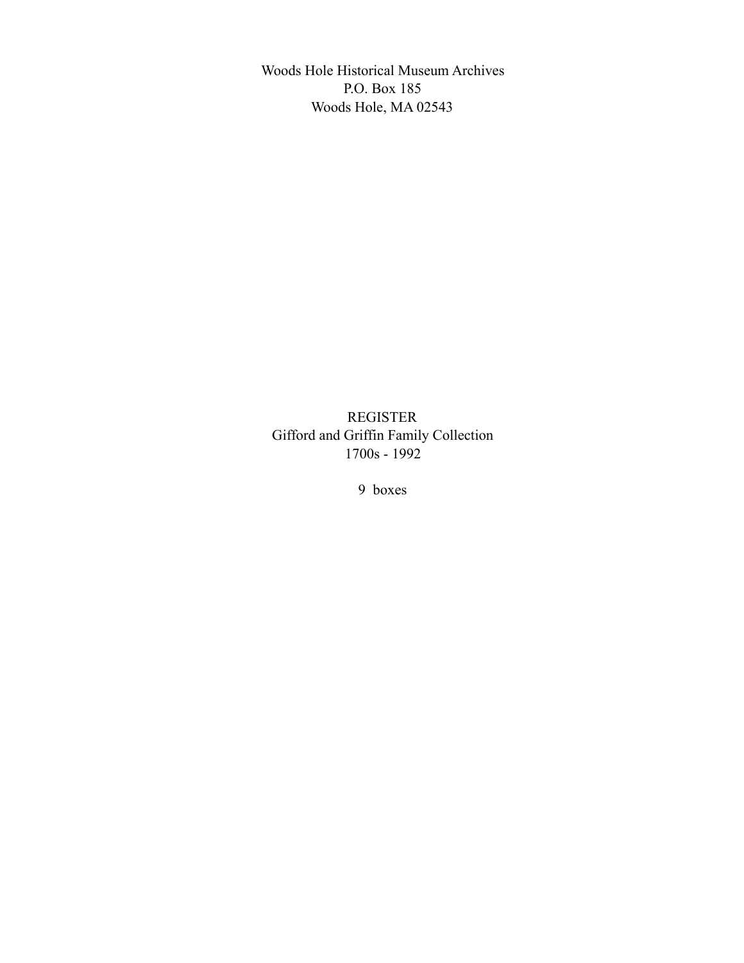Woods Hole Historical Museum Archives P.O. Box 185 Woods Hole, MA 02543

REGISTER Gifford and Griffin Family Collection 1700s - 1992

9 boxes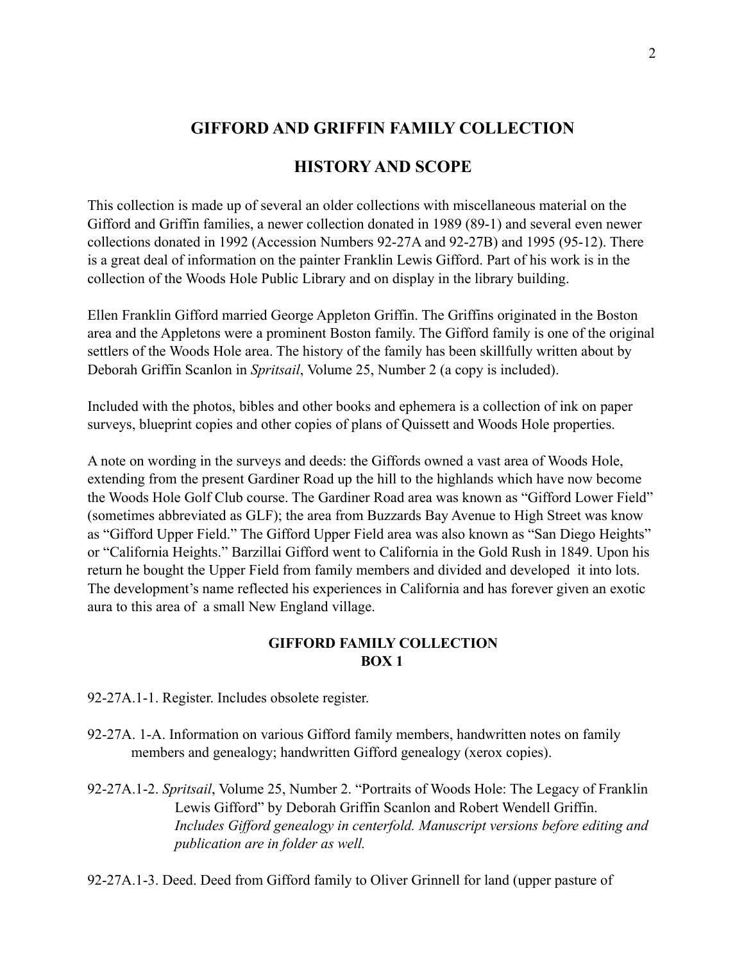# **HISTORY AND SCOPE**

This collection is made up of several an older collections with miscellaneous material on the Gifford and Griffin families, a newer collection donated in 1989 (89-1) and several even newer collections donated in 1992 (Accession Numbers 92-27A and 92-27B) and 1995 (95-12). There is a great deal of information on the painter Franklin Lewis Gifford. Part of his work is in the collection of the Woods Hole Public Library and on display in the library building.

Ellen Franklin Gifford married George Appleton Griffin. The Griffins originated in the Boston area and the Appletons were a prominent Boston family. The Gifford family is one of the original settlers of the Woods Hole area. The history of the family has been skillfully written about by Deborah Griffin Scanlon in *Spritsail*, Volume 25, Number 2 (a copy is included).

Included with the photos, bibles and other books and ephemera is a collection of ink on paper surveys, blueprint copies and other copies of plans of Quissett and Woods Hole properties.

A note on wording in the surveys and deeds: the Giffords owned a vast area of Woods Hole, extending from the present Gardiner Road up the hill to the highlands which have now become the Woods Hole Golf Club course. The Gardiner Road area was known as "Gifford Lower Field" (sometimes abbreviated as GLF); the area from Buzzards Bay Avenue to High Street was know as "Gifford Upper Field." The Gifford Upper Field area was also known as "San Diego Heights" or "California Heights." Barzillai Gifford went to California in the Gold Rush in 1849. Upon his return he bought the Upper Field from family members and divided and developed it into lots. The development's name reflected his experiences in California and has forever given an exotic aura to this area of a small New England village.

### **GIFFORD FAMILY COLLECTION BOX 1**

92-27A.1-1. Register. Includes obsolete register.

- 92-27A. 1-A. Information on various Gifford family members, handwritten notes on family members and genealogy; handwritten Gifford genealogy (xerox copies).
- 92-27A.1-2. *Spritsail*, Volume 25, Number 2. "Portraits of Woods Hole: The Legacy of Franklin Lewis Gifford" by Deborah Griffin Scanlon and Robert Wendell Griffin. *Includes Gifford genealogy in centerfold. Manuscript versions before editing and publication are in folder as well.*

92-27A.1-3. Deed. Deed from Gifford family to Oliver Grinnell for land (upper pasture of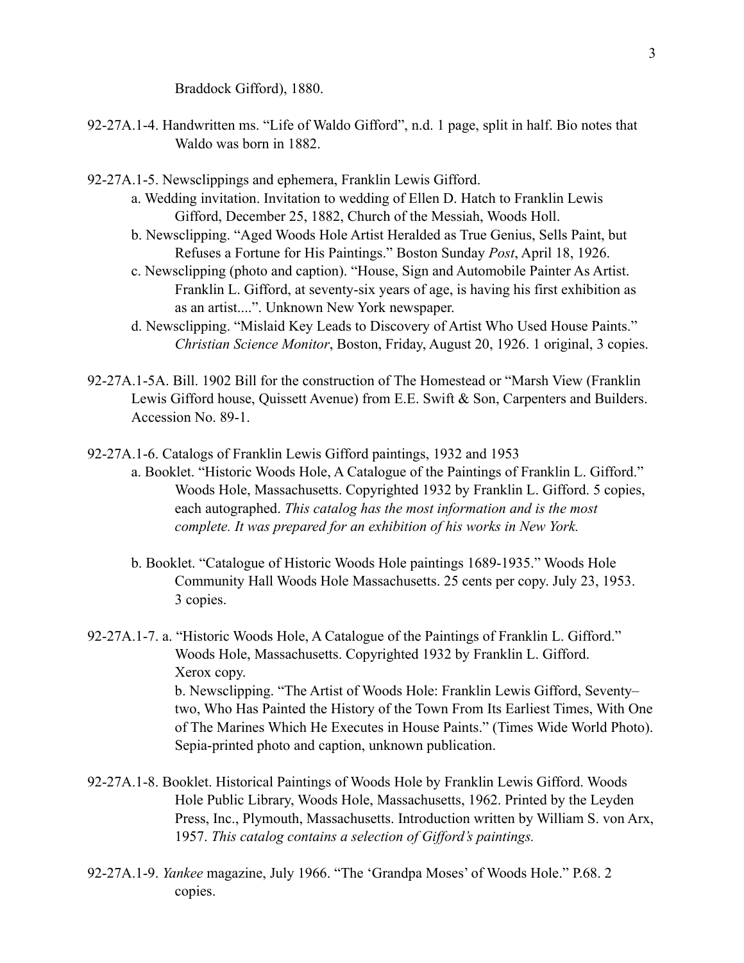Braddock Gifford), 1880.

- 92-27A.1-4. Handwritten ms. "Life of Waldo Gifford", n.d. 1 page, split in half. Bio notes that Waldo was born in 1882.
- 92-27A.1-5. Newsclippings and ephemera, Franklin Lewis Gifford.
	- a. Wedding invitation. Invitation to wedding of Ellen D. Hatch to Franklin Lewis Gifford, December 25, 1882, Church of the Messiah, Woods Holl.
	- b. Newsclipping. "Aged Woods Hole Artist Heralded as True Genius, Sells Paint, but Refuses a Fortune for His Paintings." Boston Sunday *Post*, April 18, 1926.
	- c. Newsclipping (photo and caption). "House, Sign and Automobile Painter As Artist. Franklin L. Gifford, at seventy-six years of age, is having his first exhibition as as an artist....". Unknown New York newspaper.
	- d. Newsclipping. "Mislaid Key Leads to Discovery of Artist Who Used House Paints." *Christian Science Monitor*, Boston, Friday, August 20, 1926. 1 original, 3 copies.
- 92-27A.1-5A. Bill. 1902 Bill for the construction of The Homestead or "Marsh View (Franklin Lewis Gifford house, Quissett Avenue) from E.E. Swift & Son, Carpenters and Builders. Accession No. 89-1.
- 92-27A.1-6. Catalogs of Franklin Lewis Gifford paintings, 1932 and 1953
	- a. Booklet. "Historic Woods Hole, A Catalogue of the Paintings of Franklin L. Gifford." Woods Hole, Massachusetts. Copyrighted 1932 by Franklin L. Gifford. 5 copies, each autographed. *This catalog has the most information and is the most complete. It was prepared for an exhibition of his works in New York.* 
		- b. Booklet. "Catalogue of Historic Woods Hole paintings 1689-1935." Woods Hole Community Hall Woods Hole Massachusetts. 25 cents per copy. July 23, 1953. 3 copies.
- 92-27A.1-7. a. "Historic Woods Hole, A Catalogue of the Paintings of Franklin L. Gifford." Woods Hole, Massachusetts. Copyrighted 1932 by Franklin L. Gifford. Xerox copy. b. Newsclipping. "The Artist of Woods Hole: Franklin Lewis Gifford, Seventy– two, Who Has Painted the History of the Town From Its Earliest Times, With One of The Marines Which He Executes in House Paints." (Times Wide World Photo). Sepia-printed photo and caption, unknown publication.
- 92-27A.1-8. Booklet. Historical Paintings of Woods Hole by Franklin Lewis Gifford. Woods Hole Public Library, Woods Hole, Massachusetts, 1962. Printed by the Leyden Press, Inc., Plymouth, Massachusetts. Introduction written by William S. von Arx, 1957. *This catalog contains a selection of Gifford's paintings.*
- 92-27A.1-9. *Yankee* magazine, July 1966. "The 'Grandpa Moses' of Woods Hole." P.68. 2 copies.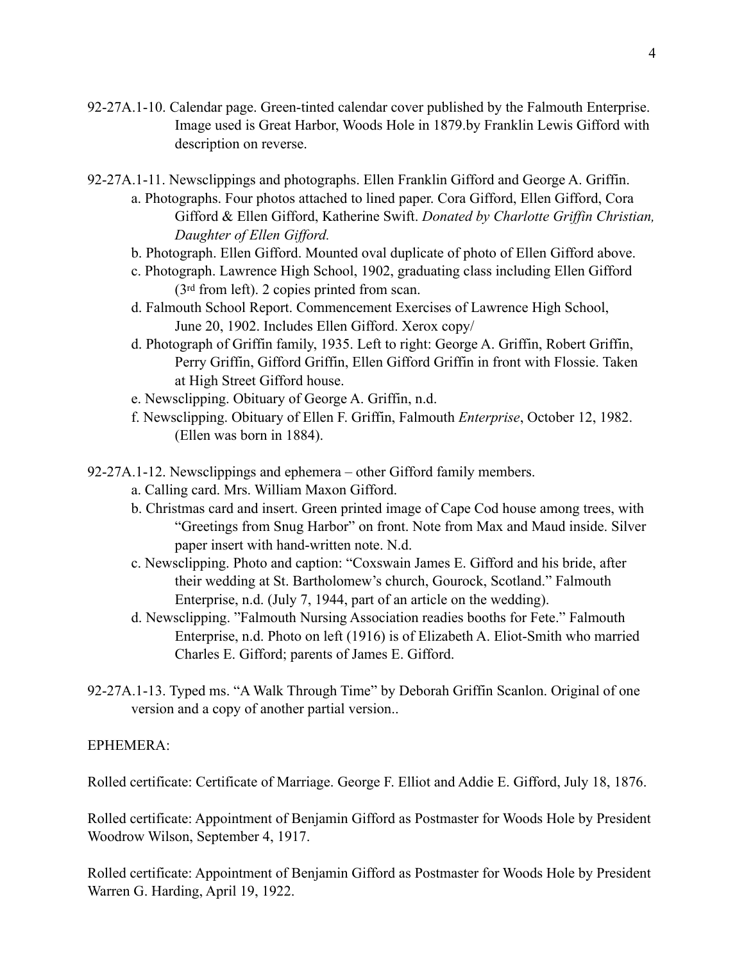- 92-27A.1-10. Calendar page. Green-tinted calendar cover published by the Falmouth Enterprise. Image used is Great Harbor, Woods Hole in 1879.by Franklin Lewis Gifford with description on reverse.
- 92-27A.1-11. Newsclippings and photographs. Ellen Franklin Gifford and George A. Griffin.
	- a. Photographs. Four photos attached to lined paper. Cora Gifford, Ellen Gifford, Cora Gifford & Ellen Gifford, Katherine Swift. *Donated by Charlotte Griffin Christian, Daughter of Ellen Gifford.*
	- b. Photograph. Ellen Gifford. Mounted oval duplicate of photo of Ellen Gifford above.
	- c. Photograph. Lawrence High School, 1902, graduating class including Ellen Gifford (3rd from left). 2 copies printed from scan.
	- d. Falmouth School Report. Commencement Exercises of Lawrence High School, June 20, 1902. Includes Ellen Gifford. Xerox copy/
	- d. Photograph of Griffin family, 1935. Left to right: George A. Griffin, Robert Griffin, Perry Griffin, Gifford Griffin, Ellen Gifford Griffin in front with Flossie. Taken at High Street Gifford house.
	- e. Newsclipping. Obituary of George A. Griffin, n.d.
	- f. Newsclipping. Obituary of Ellen F. Griffin, Falmouth *Enterprise*, October 12, 1982. (Ellen was born in 1884).
- 92-27A.1-12. Newsclippings and ephemera other Gifford family members.
	- a. Calling card. Mrs. William Maxon Gifford.
	- b. Christmas card and insert. Green printed image of Cape Cod house among trees, with "Greetings from Snug Harbor" on front. Note from Max and Maud inside. Silver paper insert with hand-written note. N.d.
	- c. Newsclipping. Photo and caption: "Coxswain James E. Gifford and his bride, after their wedding at St. Bartholomew's church, Gourock, Scotland." Falmouth Enterprise, n.d. (July 7, 1944, part of an article on the wedding).
	- d. Newsclipping. "Falmouth Nursing Association readies booths for Fete." Falmouth Enterprise, n.d. Photo on left (1916) is of Elizabeth A. Eliot-Smith who married Charles E. Gifford; parents of James E. Gifford.
- 92-27A.1-13. Typed ms. "A Walk Through Time" by Deborah Griffin Scanlon. Original of one version and a copy of another partial version..

#### EPHEMERA:

Rolled certificate: Certificate of Marriage. George F. Elliot and Addie E. Gifford, July 18, 1876.

Rolled certificate: Appointment of Benjamin Gifford as Postmaster for Woods Hole by President Woodrow Wilson, September 4, 1917.

Rolled certificate: Appointment of Benjamin Gifford as Postmaster for Woods Hole by President Warren G. Harding, April 19, 1922.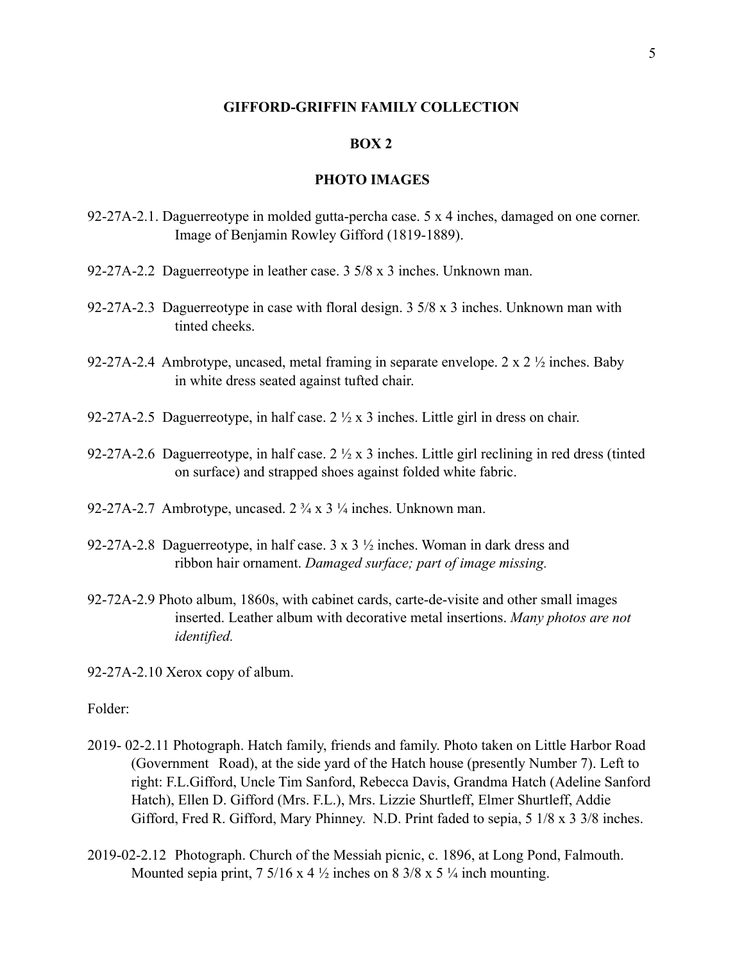### **BOX 2**

### **PHOTO IMAGES**

- 92-27A-2.1. Daguerreotype in molded gutta-percha case. 5 x 4 inches, damaged on one corner. Image of Benjamin Rowley Gifford (1819-1889).
- 92-27A-2.2 Daguerreotype in leather case. 3 5/8 x 3 inches. Unknown man.
- 92-27A-2.3 Daguerreotype in case with floral design. 3 5/8 x 3 inches. Unknown man with tinted cheeks.
- 92-27A-2.4 Ambrotype, uncased, metal framing in separate envelope.  $2 \times 2 \frac{1}{2}$  inches. Baby in white dress seated against tufted chair.
- 92-27A-2.5 Daguerreotype, in half case.  $2 \frac{1}{2} \times 3$  inches. Little girl in dress on chair.
- 92-27A-2.6 Daguerreotype, in half case. 2 ½ x 3 inches. Little girl reclining in red dress (tinted on surface) and strapped shoes against folded white fabric.
- 92-27A-2.7 Ambrotype, uncased.  $2\frac{3}{4} \times 3\frac{1}{4}$  inches. Unknown man.
- 92-27A-2.8 Daguerreotype, in half case. 3 x 3 ½ inches. Woman in dark dress and ribbon hair ornament. *Damaged surface; part of image missing.*
- 92-72A-2.9 Photo album, 1860s, with cabinet cards, carte-de-visite and other small images inserted. Leather album with decorative metal insertions. *Many photos are not identified.*
- 92-27A-2.10 Xerox copy of album.

### Folder:

- 2019- 02-2.11 Photograph. Hatch family, friends and family. Photo taken on Little Harbor Road (Government Road), at the side yard of the Hatch house (presently Number 7). Left to right: F.L.Gifford, Uncle Tim Sanford, Rebecca Davis, Grandma Hatch (Adeline Sanford Hatch), Ellen D. Gifford (Mrs. F.L.), Mrs. Lizzie Shurtleff, Elmer Shurtleff, Addie Gifford, Fred R. Gifford, Mary Phinney. N.D. Print faded to sepia, 5 1/8 x 3 3/8 inches.
- 2019-02-2.12 Photograph. Church of the Messiah picnic, c. 1896, at Long Pond, Falmouth. Mounted sepia print,  $7\frac{5}{16}$  x 4  $\frac{1}{2}$  inches on 8 3/8 x 5  $\frac{1}{4}$  inch mounting.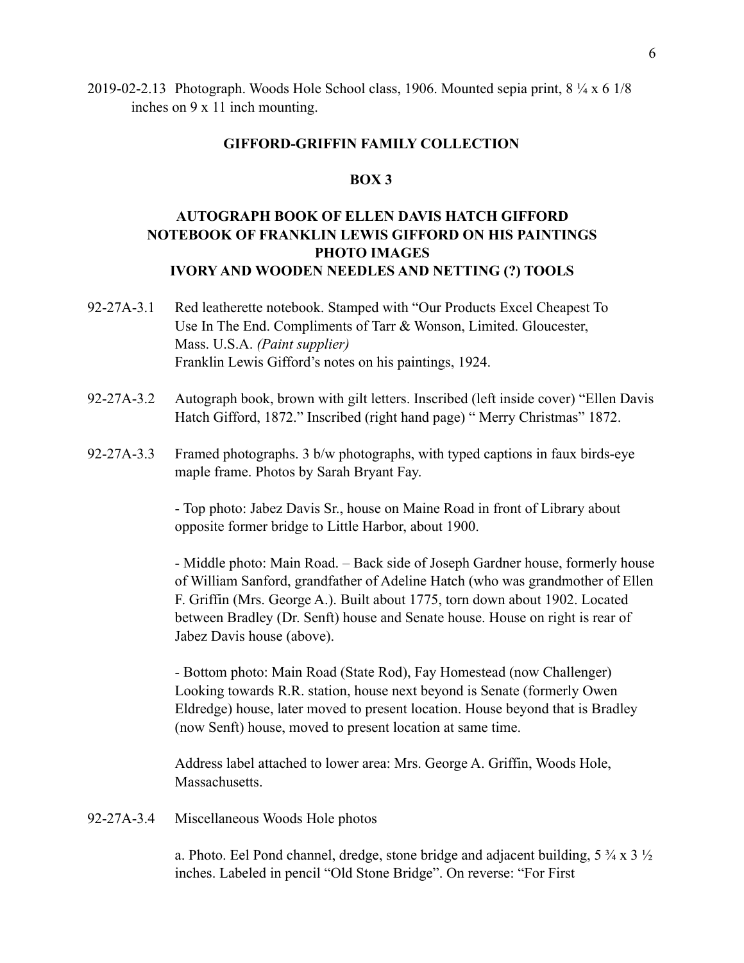2019-02-2.13 Photograph. Woods Hole School class, 1906. Mounted sepia print,  $8\frac{1}{4} \times 61\frac{8}{8}$ inches on 9 x 11 inch mounting.

### **GIFFORD-GRIFFIN FAMILY COLLECTION**

### **BOX 3**

# **AUTOGRAPH BOOK OF ELLEN DAVIS HATCH GIFFORD NOTEBOOK OF FRANKLIN LEWIS GIFFORD ON HIS PAINTINGS PHOTO IMAGES IVORY AND WOODEN NEEDLES AND NETTING (?) TOOLS**

- 92-27A-3.1 Red leatherette notebook. Stamped with "Our Products Excel Cheapest To Use In The End. Compliments of Tarr & Wonson, Limited. Gloucester, Mass. U.S.A. *(Paint supplier)* Franklin Lewis Gifford's notes on his paintings, 1924.
- 92-27A-3.2 Autograph book, brown with gilt letters. Inscribed (left inside cover) "Ellen Davis Hatch Gifford, 1872." Inscribed (right hand page) " Merry Christmas" 1872.
- 92-27A-3.3 Framed photographs. 3 b/w photographs, with typed captions in faux birds-eye maple frame. Photos by Sarah Bryant Fay.

 - Top photo: Jabez Davis Sr., house on Maine Road in front of Library about opposite former bridge to Little Harbor, about 1900.

 - Middle photo: Main Road. – Back side of Joseph Gardner house, formerly house of William Sanford, grandfather of Adeline Hatch (who was grandmother of Ellen F. Griffin (Mrs. George A.). Built about 1775, torn down about 1902. Located between Bradley (Dr. Senft) house and Senate house. House on right is rear of Jabez Davis house (above).

 - Bottom photo: Main Road (State Rod), Fay Homestead (now Challenger) Looking towards R.R. station, house next beyond is Senate (formerly Owen Eldredge) house, later moved to present location. House beyond that is Bradley (now Senft) house, moved to present location at same time.

 Address label attached to lower area: Mrs. George A. Griffin, Woods Hole, Massachusetts.

### 92-27A-3.4 Miscellaneous Woods Hole photos

a. Photo. Eel Pond channel, dredge, stone bridge and adjacent building,  $5\frac{3}{4} \times 3\frac{1}{2}$ inches. Labeled in pencil "Old Stone Bridge". On reverse: "For First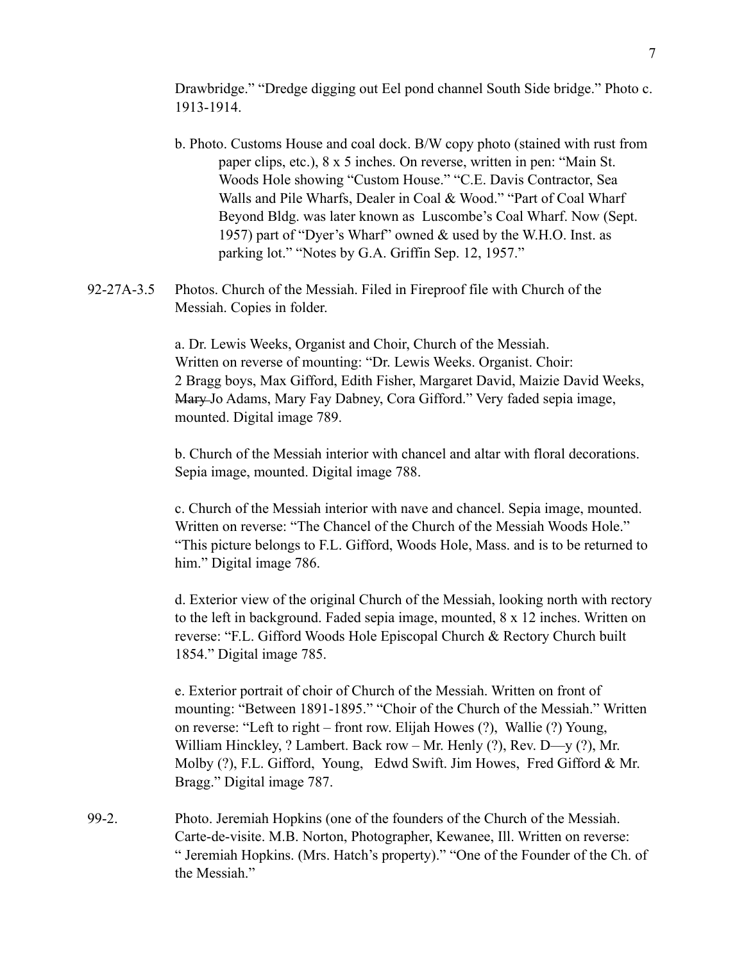Drawbridge." "Dredge digging out Eel pond channel South Side bridge." Photo c. 1913-1914.

- b. Photo. Customs House and coal dock. B/W copy photo (stained with rust from paper clips, etc.), 8 x 5 inches. On reverse, written in pen: "Main St. Woods Hole showing "Custom House." "C.E. Davis Contractor, Sea Walls and Pile Wharfs, Dealer in Coal & Wood." "Part of Coal Wharf Beyond Bldg. was later known as Luscombe's Coal Wharf. Now (Sept. 1957) part of "Dyer's Wharf" owned & used by the W.H.O. Inst. as parking lot." "Notes by G.A. Griffin Sep. 12, 1957."
- 92-27A-3.5 Photos. Church of the Messiah. Filed in Fireproof file with Church of the Messiah. Copies in folder.

 a. Dr. Lewis Weeks, Organist and Choir, Church of the Messiah. Written on reverse of mounting: "Dr. Lewis Weeks. Organist. Choir: 2 Bragg boys, Max Gifford, Edith Fisher, Margaret David, Maizie David Weeks, Mary Jo Adams, Mary Fay Dabney, Cora Gifford." Very faded sepia image, mounted. Digital image 789.

 b. Church of the Messiah interior with chancel and altar with floral decorations. Sepia image, mounted. Digital image 788.

 c. Church of the Messiah interior with nave and chancel. Sepia image, mounted. Written on reverse: "The Chancel of the Church of the Messiah Woods Hole." "This picture belongs to F.L. Gifford, Woods Hole, Mass. and is to be returned to him." Digital image 786.

 d. Exterior view of the original Church of the Messiah, looking north with rectory to the left in background. Faded sepia image, mounted, 8 x 12 inches. Written on reverse: "F.L. Gifford Woods Hole Episcopal Church & Rectory Church built 1854." Digital image 785.

 e. Exterior portrait of choir of Church of the Messiah. Written on front of mounting: "Between 1891-1895." "Choir of the Church of the Messiah." Written on reverse: "Left to right – front row. Elijah Howes (?), Wallie (?) Young, William Hinckley, ? Lambert. Back row – Mr. Henly (?), Rev. D—y (?), Mr. Molby (?), F.L. Gifford, Young, Edwd Swift. Jim Howes, Fred Gifford & Mr. Bragg." Digital image 787.

99-2. Photo. Jeremiah Hopkins (one of the founders of the Church of the Messiah. Carte-de-visite. M.B. Norton, Photographer, Kewanee, Ill. Written on reverse: " Jeremiah Hopkins. (Mrs. Hatch's property)." "One of the Founder of the Ch. of the Messiah."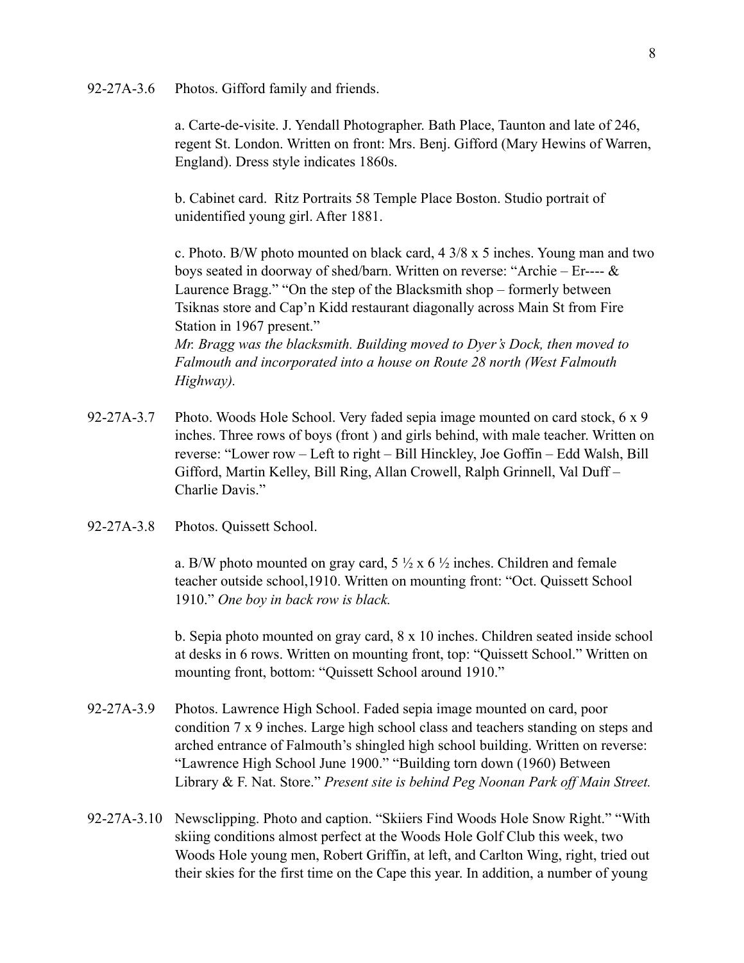92-27A-3.6 Photos. Gifford family and friends.

 a. Carte-de-visite. J. Yendall Photographer. Bath Place, Taunton and late of 246, regent St. London. Written on front: Mrs. Benj. Gifford (Mary Hewins of Warren, England). Dress style indicates 1860s.

 b. Cabinet card. Ritz Portraits 58 Temple Place Boston. Studio portrait of unidentified young girl. After 1881.

 c. Photo. B/W photo mounted on black card, 4 3/8 x 5 inches. Young man and two boys seated in doorway of shed/barn. Written on reverse: "Archie – Er---- & Laurence Bragg." "On the step of the Blacksmith shop – formerly between Tsiknas store and Cap'n Kidd restaurant diagonally across Main St from Fire Station in 1967 present." *Mr. Bragg was the blacksmith. Building moved to Dyer's Dock, then moved to* 

*Falmouth and incorporated into a house on Route 28 north (West Falmouth Highway).* 

- 92-27A-3.7 Photo. Woods Hole School. Very faded sepia image mounted on card stock, 6 x 9 inches. Three rows of boys (front ) and girls behind, with male teacher. Written on reverse: "Lower row – Left to right – Bill Hinckley, Joe Goffin – Edd Walsh, Bill Gifford, Martin Kelley, Bill Ring, Allan Crowell, Ralph Grinnell, Val Duff – Charlie Davis."
- 92-27A-3.8 Photos. Quissett School.

a. B/W photo mounted on gray card,  $5\frac{1}{2}$  x 6  $\frac{1}{2}$  inches. Children and female teacher outside school,1910. Written on mounting front: "Oct. Quissett School 1910." *One boy in back row is black.*

 b. Sepia photo mounted on gray card, 8 x 10 inches. Children seated inside school at desks in 6 rows. Written on mounting front, top: "Quissett School." Written on mounting front, bottom: "Quissett School around 1910."

- 92-27A-3.9 Photos. Lawrence High School. Faded sepia image mounted on card, poor condition 7 x 9 inches. Large high school class and teachers standing on steps and arched entrance of Falmouth's shingled high school building. Written on reverse: "Lawrence High School June 1900." "Building torn down (1960) Between Library & F. Nat. Store." *Present site is behind Peg Noonan Park off Main Street.*
- 92-27A-3.10 Newsclipping. Photo and caption. "Skiiers Find Woods Hole Snow Right." "With skiing conditions almost perfect at the Woods Hole Golf Club this week, two Woods Hole young men, Robert Griffin, at left, and Carlton Wing, right, tried out their skies for the first time on the Cape this year. In addition, a number of young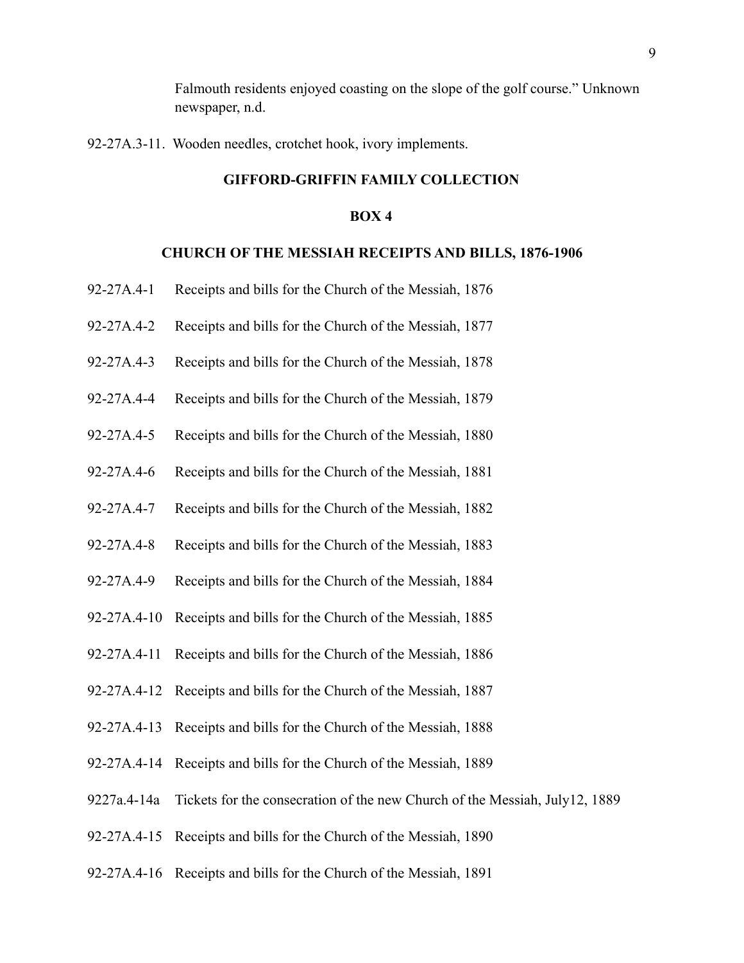Falmouth residents enjoyed coasting on the slope of the golf course." Unknown newspaper, n.d.

92-27A.3-11. Wooden needles, crotchet hook, ivory implements.

### **GIFFORD-GRIFFIN FAMILY COLLECTION**

#### **BOX 4**

#### **CHURCH OF THE MESSIAH RECEIPTS AND BILLS, 1876-1906**

- 92-27A.4-1 Receipts and bills for the Church of the Messiah, 1876
- 92-27A.4-2 Receipts and bills for the Church of the Messiah, 1877
- 92-27A.4-3 Receipts and bills for the Church of the Messiah, 1878
- 92-27A.4-4 Receipts and bills for the Church of the Messiah, 1879
- 92-27A.4-5 Receipts and bills for the Church of the Messiah, 1880
- 92-27A.4-6 Receipts and bills for the Church of the Messiah, 1881
- 92-27A.4-7 Receipts and bills for the Church of the Messiah, 1882
- 92-27A.4-8 Receipts and bills for the Church of the Messiah, 1883
- 92-27A.4-9 Receipts and bills for the Church of the Messiah, 1884
- 92-27A.4-10 Receipts and bills for the Church of the Messiah, 1885
- 92-27A.4-11 Receipts and bills for the Church of the Messiah, 1886
- 92-27A.4-12 Receipts and bills for the Church of the Messiah, 1887
- 92-27A.4-13 Receipts and bills for the Church of the Messiah, 1888
- 92-27A.4-14 Receipts and bills for the Church of the Messiah, 1889
- 9227a.4-14a Tickets for the consecration of the new Church of the Messiah, July12, 1889
- 92-27A.4-15 Receipts and bills for the Church of the Messiah, 1890
- 92-27A.4-16 Receipts and bills for the Church of the Messiah, 1891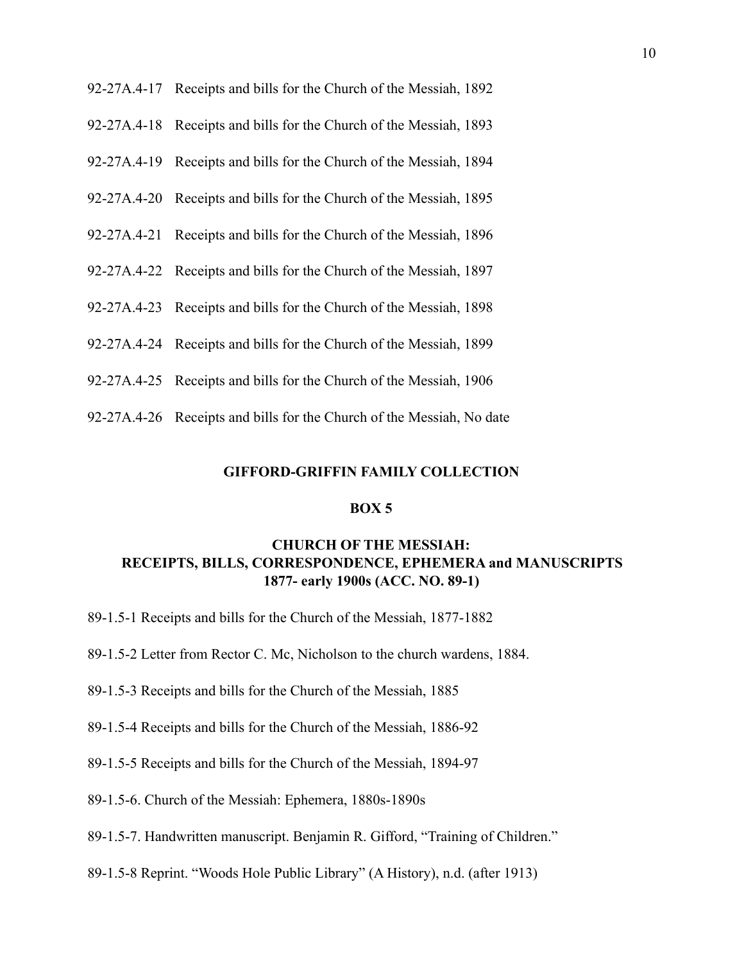| 92-27A.4-17 Receipts and bills for the Church of the Messiah, 1892    |
|-----------------------------------------------------------------------|
| 92-27A.4-18 Receipts and bills for the Church of the Messiah, 1893    |
| 92-27A.4-19 Receipts and bills for the Church of the Messiah, 1894    |
| 92-27A.4-20 Receipts and bills for the Church of the Messiah, 1895    |
| 92-27A.4-21 Receipts and bills for the Church of the Messiah, 1896    |
| 92-27A.4-22 Receipts and bills for the Church of the Messiah, 1897    |
| 92-27A.4-23 Receipts and bills for the Church of the Messiah, 1898    |
| 92-27A.4-24 Receipts and bills for the Church of the Messiah, 1899    |
| 92-27A.4-25 Receipts and bills for the Church of the Messiah, 1906    |
| 92-27A.4-26 Receipts and bills for the Church of the Messiah, No date |

### **BOX 5**

## **CHURCH OF THE MESSIAH: RECEIPTS, BILLS, CORRESPONDENCE, EPHEMERA and MANUSCRIPTS 1877- early 1900s (ACC. NO. 89-1)**

- 89-1.5-1 Receipts and bills for the Church of the Messiah, 1877-1882
- 89-1.5-2 Letter from Rector C. Mc, Nicholson to the church wardens, 1884.
- 89-1.5-3 Receipts and bills for the Church of the Messiah, 1885
- 89-1.5-4 Receipts and bills for the Church of the Messiah, 1886-92
- 89-1.5-5 Receipts and bills for the Church of the Messiah, 1894-97
- 89-1.5-6. Church of the Messiah: Ephemera, 1880s-1890s
- 89-1.5-7. Handwritten manuscript. Benjamin R. Gifford, "Training of Children."
- 89-1.5-8 Reprint. "Woods Hole Public Library" (A History), n.d. (after 1913)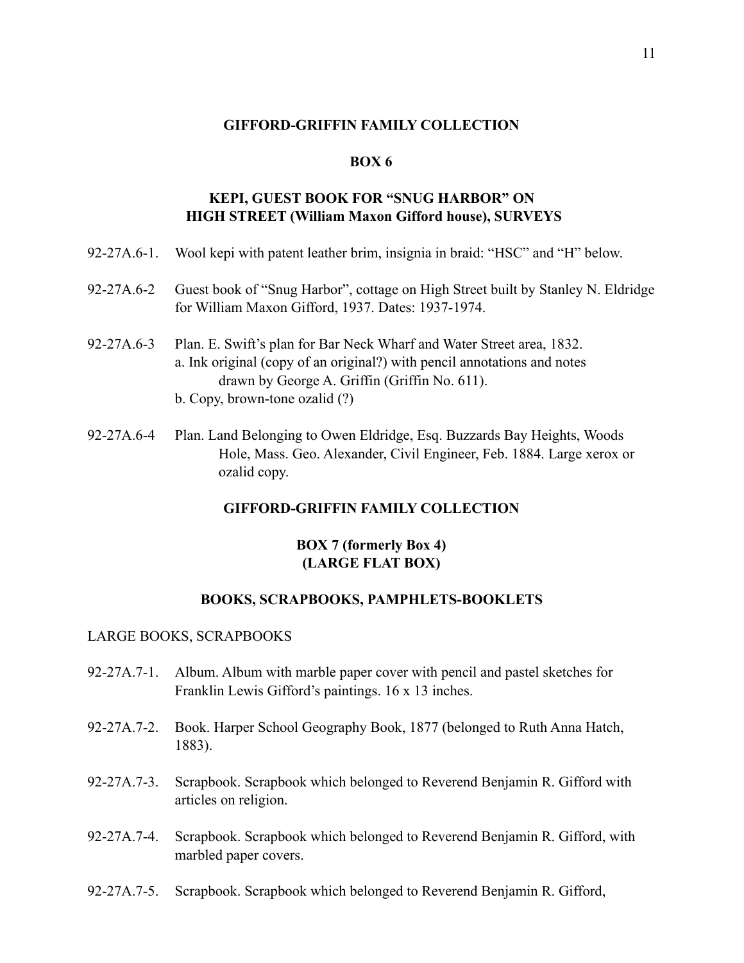### **BOX 6**

### **KEPI, GUEST BOOK FOR "SNUG HARBOR" ON HIGH STREET (William Maxon Gifford house), SURVEYS**

- 92-27A.6-1. Wool kepi with patent leather brim, insignia in braid: "HSC" and "H" below.
- 92-27A.6-2 Guest book of "Snug Harbor", cottage on High Street built by Stanley N. Eldridge for William Maxon Gifford, 1937. Dates: 1937-1974.
- 92-27A.6-3 Plan. E. Swift's plan for Bar Neck Wharf and Water Street area, 1832. a. Ink original (copy of an original?) with pencil annotations and notes drawn by George A. Griffin (Griffin No. 611). b. Copy, brown-tone ozalid (?)
- 92-27A.6-4 Plan. Land Belonging to Owen Eldridge, Esq. Buzzards Bay Heights, Woods Hole, Mass. Geo. Alexander, Civil Engineer, Feb. 1884. Large xerox or ozalid copy.

### **GIFFORD-GRIFFIN FAMILY COLLECTION**

### **BOX 7 (formerly Box 4) (LARGE FLAT BOX)**

#### **BOOKS, SCRAPBOOKS, PAMPHLETS-BOOKLETS**

#### LARGE BOOKS, SCRAPBOOKS

- 92-27A.7-1. Album. Album with marble paper cover with pencil and pastel sketches for Franklin Lewis Gifford's paintings. 16 x 13 inches.
- 92-27A.7-2. Book. Harper School Geography Book, 1877 (belonged to Ruth Anna Hatch, 1883).
- 92-27A.7-3. Scrapbook. Scrapbook which belonged to Reverend Benjamin R. Gifford with articles on religion.
- 92-27A.7-4. Scrapbook. Scrapbook which belonged to Reverend Benjamin R. Gifford, with marbled paper covers.
- 92-27A.7-5. Scrapbook. Scrapbook which belonged to Reverend Benjamin R. Gifford,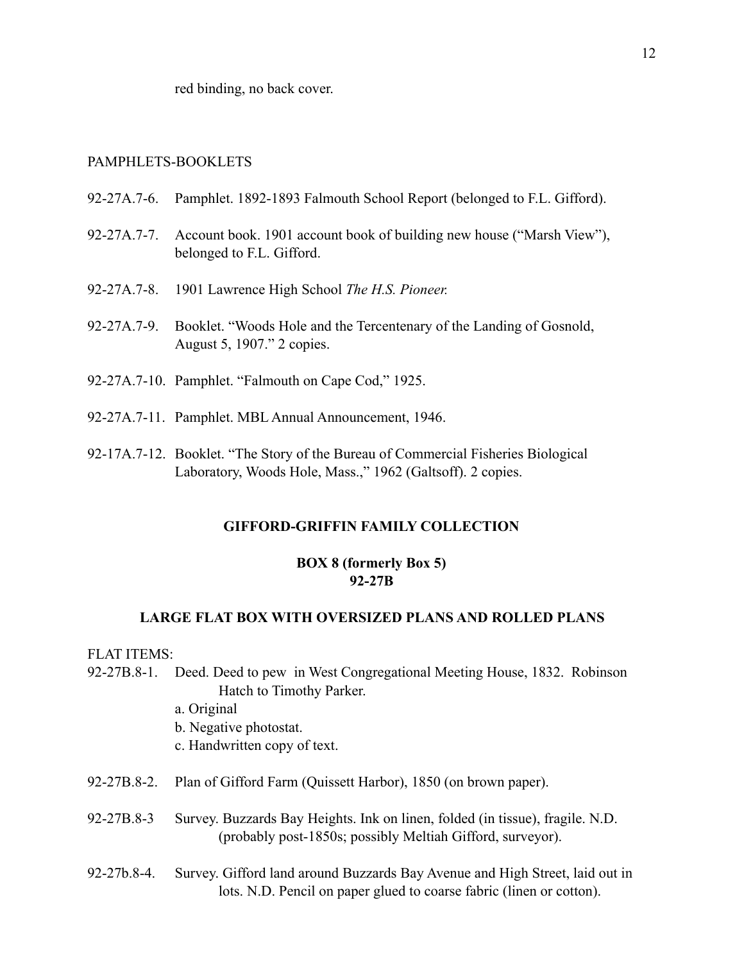red binding, no back cover.

### PAMPHLETS-BOOKLETS

- 92-27A.7-6. Pamphlet. 1892-1893 Falmouth School Report (belonged to F.L. Gifford).
- 92-27A.7-7. Account book. 1901 account book of building new house ("Marsh View"), belonged to F.L. Gifford.
- 92-27A.7-8. 1901 Lawrence High School *The H.S. Pioneer.*
- 92-27A.7-9. Booklet. "Woods Hole and the Tercentenary of the Landing of Gosnold, August 5, 1907." 2 copies.
- 92-27A.7-10. Pamphlet. "Falmouth on Cape Cod," 1925.
- 92-27A.7-11. Pamphlet. MBL Annual Announcement, 1946.
- 92-17A.7-12. Booklet. "The Story of the Bureau of Commercial Fisheries Biological Laboratory, Woods Hole, Mass.," 1962 (Galtsoff). 2 copies.

#### **GIFFORD-GRIFFIN FAMILY COLLECTION**

### **BOX 8 (formerly Box 5) 92-27B**

### **LARGE FLAT BOX WITH OVERSIZED PLANS AND ROLLED PLANS**

FLAT ITEMS:

- 92-27B.8-1. Deed. Deed to pew in West Congregational Meeting House, 1832. Robinson Hatch to Timothy Parker.
	- a. Original
	- b. Negative photostat.
	- c. Handwritten copy of text.
- 92-27B.8-2. Plan of Gifford Farm (Quissett Harbor), 1850 (on brown paper).
- 92-27B.8-3 Survey. Buzzards Bay Heights. Ink on linen, folded (in tissue), fragile. N.D. (probably post-1850s; possibly Meltiah Gifford, surveyor).
- 92-27b.8-4. Survey. Gifford land around Buzzards Bay Avenue and High Street, laid out in lots. N.D. Pencil on paper glued to coarse fabric (linen or cotton).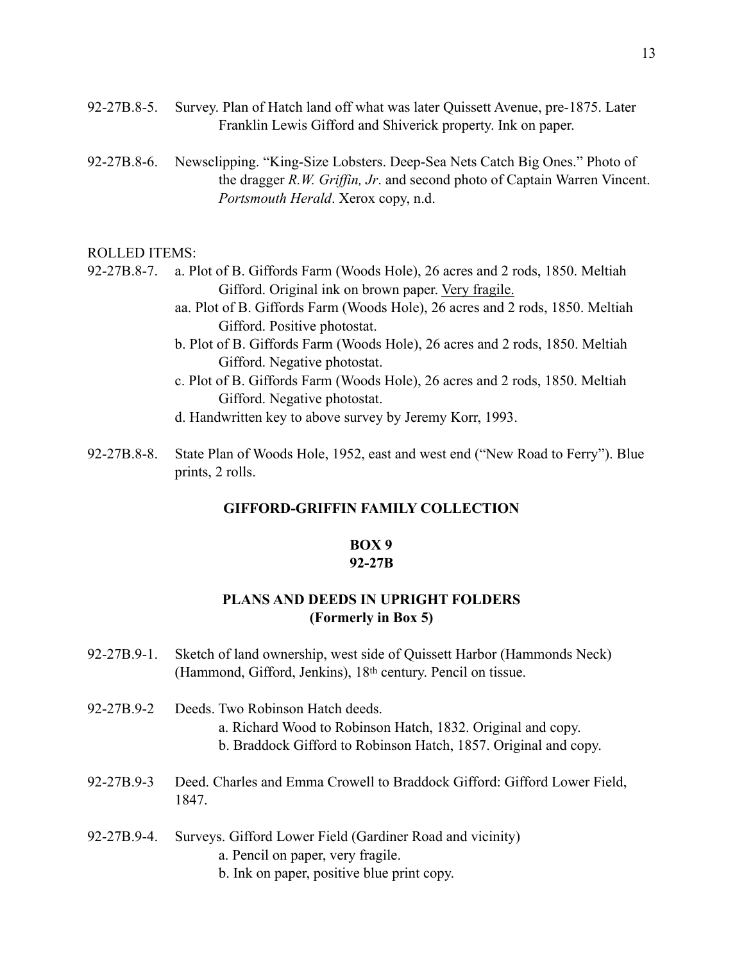- 92-27B.8-5. Survey. Plan of Hatch land off what was later Quissett Avenue, pre-1875. Later Franklin Lewis Gifford and Shiverick property. Ink on paper.
- 92-27B.8-6. Newsclipping. "King-Size Lobsters. Deep-Sea Nets Catch Big Ones." Photo of the dragger *R.W. Griffin, Jr*. and second photo of Captain Warren Vincent. *Portsmouth Herald*. Xerox copy, n.d.

#### ROLLED ITEMS:

- 92-27B.8-7. a. Plot of B. Giffords Farm (Woods Hole), 26 acres and 2 rods, 1850. Meltiah Gifford. Original ink on brown paper. Very fragile.
	- aa. Plot of B. Giffords Farm (Woods Hole), 26 acres and 2 rods, 1850. Meltiah Gifford. Positive photostat.
	- b. Plot of B. Giffords Farm (Woods Hole), 26 acres and 2 rods, 1850. Meltiah Gifford. Negative photostat.
	- c. Plot of B. Giffords Farm (Woods Hole), 26 acres and 2 rods, 1850. Meltiah Gifford. Negative photostat.
	- d. Handwritten key to above survey by Jeremy Korr, 1993.
- 92-27B.8-8. State Plan of Woods Hole, 1952, east and west end ("New Road to Ferry"). Blue prints, 2 rolls.

### **GIFFORD-GRIFFIN FAMILY COLLECTION**

# **BOX 9**

### **92-27B**

### **PLANS AND DEEDS IN UPRIGHT FOLDERS (Formerly in Box 5)**

- 92-27B.9-1. Sketch of land ownership, west side of Quissett Harbor (Hammonds Neck) (Hammond, Gifford, Jenkins), 18th century. Pencil on tissue.
- 92-27B.9-2 Deeds. Two Robinson Hatch deeds. a. Richard Wood to Robinson Hatch, 1832. Original and copy.
	- b. Braddock Gifford to Robinson Hatch, 1857. Original and copy.
- 92-27B.9-3 Deed. Charles and Emma Crowell to Braddock Gifford: Gifford Lower Field, 1847.
- 92-27B.9-4. Surveys. Gifford Lower Field (Gardiner Road and vicinity)
	- a. Pencil on paper, very fragile.
	- b. Ink on paper, positive blue print copy.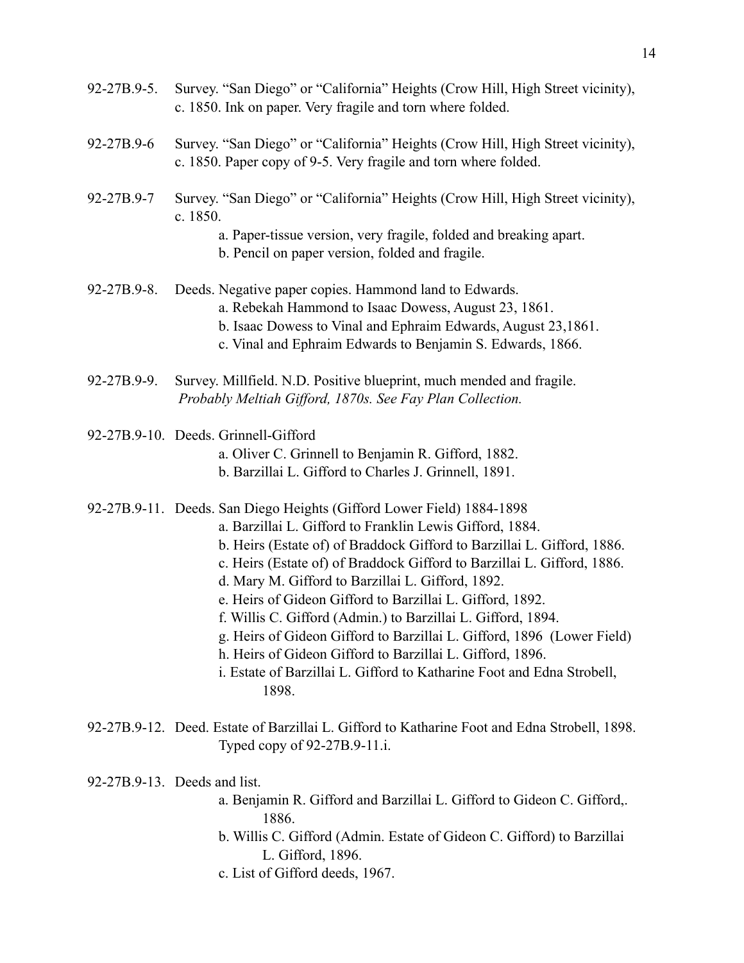- 92-27B.9-5. Survey. "San Diego" or "California" Heights (Crow Hill, High Street vicinity), c. 1850. Ink on paper. Very fragile and torn where folded.
- 92-27B.9-6 Survey. "San Diego" or "California" Heights (Crow Hill, High Street vicinity), c. 1850. Paper copy of 9-5. Very fragile and torn where folded.
- 92-27B.9-7 Survey. "San Diego" or "California" Heights (Crow Hill, High Street vicinity), c. 1850.
	- a. Paper-tissue version, very fragile, folded and breaking apart.
	- b. Pencil on paper version, folded and fragile.
- 92-27B.9-8. Deeds. Negative paper copies. Hammond land to Edwards.
	- a. Rebekah Hammond to Isaac Dowess, August 23, 1861.
	- b. Isaac Dowess to Vinal and Ephraim Edwards, August 23,1861.
	- c. Vinal and Ephraim Edwards to Benjamin S. Edwards, 1866.
- 92-27B.9-9. Survey. Millfield. N.D. Positive blueprint, much mended and fragile.  *Probably Meltiah Gifford, 1870s. See Fay Plan Collection.*
- 92-27B.9-10. Deeds. Grinnell-Gifford
	- a. Oliver C. Grinnell to Benjamin R. Gifford, 1882.
	- b. Barzillai L. Gifford to Charles J. Grinnell, 1891.
- 92-27B.9-11. Deeds. San Diego Heights (Gifford Lower Field) 1884-1898
	- a. Barzillai L. Gifford to Franklin Lewis Gifford, 1884.
	- b. Heirs (Estate of) of Braddock Gifford to Barzillai L. Gifford, 1886.
	- c. Heirs (Estate of) of Braddock Gifford to Barzillai L. Gifford, 1886.
	- d. Mary M. Gifford to Barzillai L. Gifford, 1892.
	- e. Heirs of Gideon Gifford to Barzillai L. Gifford, 1892.
	- f. Willis C. Gifford (Admin.) to Barzillai L. Gifford, 1894.
	- g. Heirs of Gideon Gifford to Barzillai L. Gifford, 1896 (Lower Field)
	- h. Heirs of Gideon Gifford to Barzillai L. Gifford, 1896.
	- i. Estate of Barzillai L. Gifford to Katharine Foot and Edna Strobell, 1898.
- 92-27B.9-12. Deed. Estate of Barzillai L. Gifford to Katharine Foot and Edna Strobell, 1898. Typed copy of 92-27B.9-11.i.

92-27B.9-13. Deeds and list.

- a. Benjamin R. Gifford and Barzillai L. Gifford to Gideon C. Gifford,. 1886.
- b. Willis C. Gifford (Admin. Estate of Gideon C. Gifford) to Barzillai L. Gifford, 1896.
- c. List of Gifford deeds, 1967.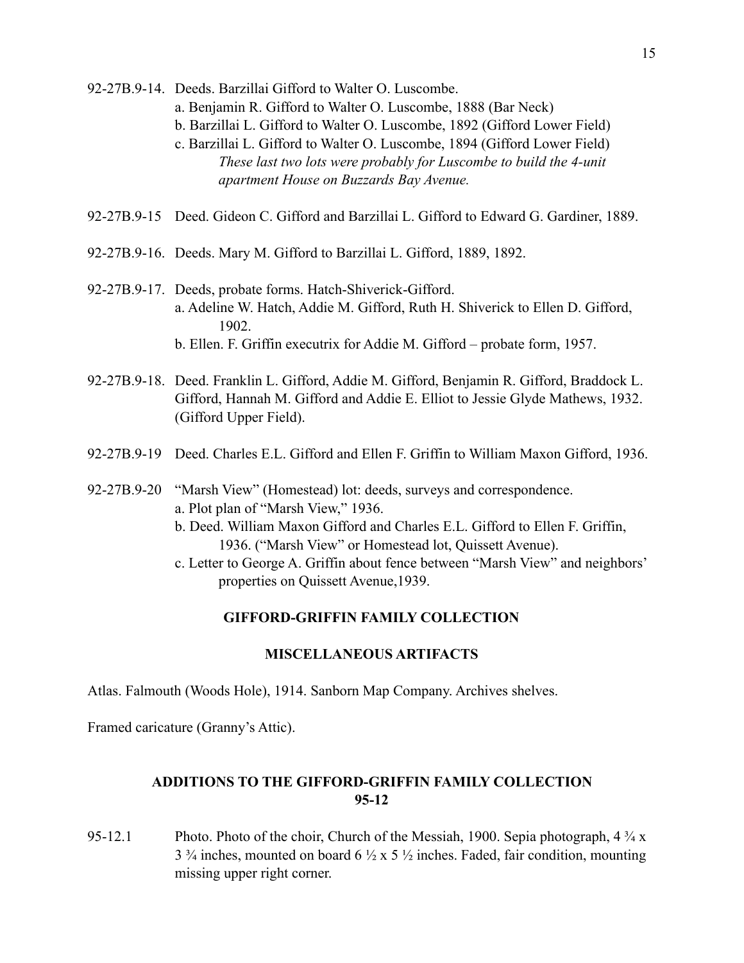- 92-27B.9-14. Deeds. Barzillai Gifford to Walter O. Luscombe.
	- a. Benjamin R. Gifford to Walter O. Luscombe, 1888 (Bar Neck)
	- b. Barzillai L. Gifford to Walter O. Luscombe, 1892 (Gifford Lower Field)
	- c. Barzillai L. Gifford to Walter O. Luscombe, 1894 (Gifford Lower Field) *These last two lots were probably for Luscombe to build the 4-unit apartment House on Buzzards Bay Avenue.*
- 92-27B.9-15 Deed. Gideon C. Gifford and Barzillai L. Gifford to Edward G. Gardiner, 1889.
- 92-27B.9-16. Deeds. Mary M. Gifford to Barzillai L. Gifford, 1889, 1892.
- 92-27B.9-17. Deeds, probate forms. Hatch-Shiverick-Gifford. a. Adeline W. Hatch, Addie M. Gifford, Ruth H. Shiverick to Ellen D. Gifford, 1902. b. Ellen. F. Griffin executrix for Addie M. Gifford – probate form, 1957.
- 92-27B.9-18. Deed. Franklin L. Gifford, Addie M. Gifford, Benjamin R. Gifford, Braddock L. Gifford, Hannah M. Gifford and Addie E. Elliot to Jessie Glyde Mathews, 1932. (Gifford Upper Field).
- 92-27B.9-19 Deed. Charles E.L. Gifford and Ellen F. Griffin to William Maxon Gifford, 1936.
- 92-27B.9-20 "Marsh View" (Homestead) lot: deeds, surveys and correspondence. a. Plot plan of "Marsh View," 1936.
	- b. Deed. William Maxon Gifford and Charles E.L. Gifford to Ellen F. Griffin, 1936. ("Marsh View" or Homestead lot, Quissett Avenue).
	- c. Letter to George A. Griffin about fence between "Marsh View" and neighbors' properties on Quissett Avenue,1939.

### **MISCELLANEOUS ARTIFACTS**

Atlas. Falmouth (Woods Hole), 1914. Sanborn Map Company. Archives shelves.

Framed caricature (Granny's Attic).

# **ADDITIONS TO THE GIFFORD-GRIFFIN FAMILY COLLECTION 95-12**

95-12.1 Photo. Photo of the choir, Church of the Messiah, 1900. Sepia photograph,  $4\frac{3}{4}x$  $3\frac{3}{4}$  inches, mounted on board  $6\frac{1}{2} \times 5\frac{1}{2}$  inches. Faded, fair condition, mounting missing upper right corner.